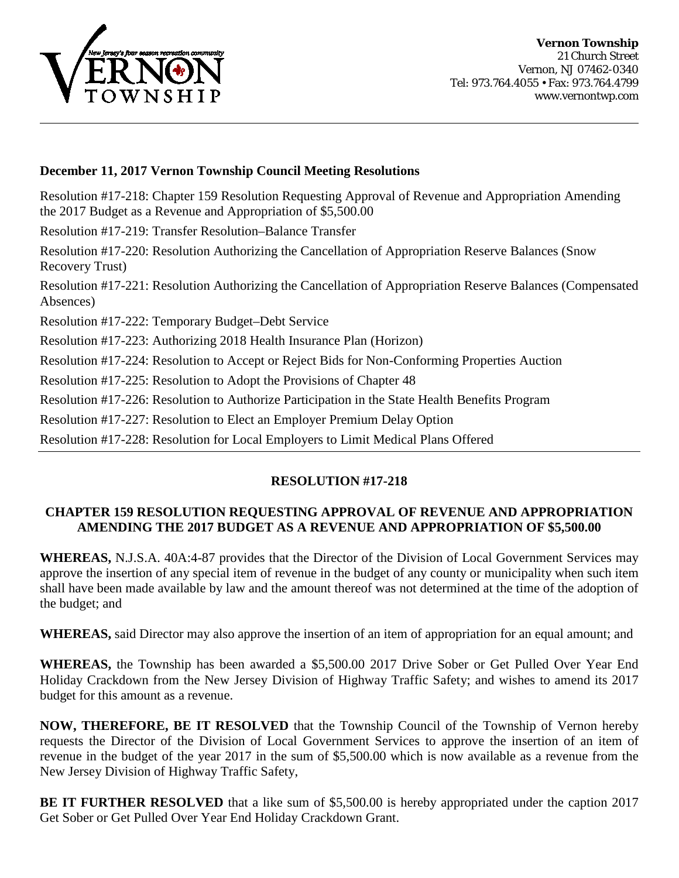

## **December 11, 2017 Vernon Township Council Meeting Resolutions**

Resolution #17-218: Chapter 159 Resolution Requesting Approval of Revenue and Appropriation Amending the 2017 Budget as a Revenue and Appropriation of \$5,500.00

Resolution #17-219: Transfer Resolution–Balance Transfer

Resolution #17-220: Resolution Authorizing the Cancellation of Appropriation Reserve Balances (Snow Recovery Trust)

Resolution #17-221: Resolution Authorizing the Cancellation of Appropriation Reserve Balances (Compensated Absences)

Resolution #17-222: Temporary Budget–Debt Service

Resolution #17-223: Authorizing 2018 Health Insurance Plan (Horizon)

Resolution #17-224: Resolution to Accept or Reject Bids for Non-Conforming Properties Auction

Resolution #17-225: Resolution to Adopt the Provisions of Chapter 48

Resolution #17-226: Resolution to Authorize Participation in the State Health Benefits Program

Resolution #17-227: Resolution to Elect an Employer Premium Delay Option

Resolution #17-228: Resolution for Local Employers to Limit Medical Plans Offered

## **RESOLUTION #17-218**

## **CHAPTER 159 RESOLUTION REQUESTING APPROVAL OF REVENUE AND APPROPRIATION AMENDING THE 2017 BUDGET AS A REVENUE AND APPROPRIATION OF \$5,500.00**

**WHEREAS,** N.J.S.A. 40A:4-87 provides that the Director of the Division of Local Government Services may approve the insertion of any special item of revenue in the budget of any county or municipality when such item shall have been made available by law and the amount thereof was not determined at the time of the adoption of the budget; and

**WHEREAS,** said Director may also approve the insertion of an item of appropriation for an equal amount; and

**WHEREAS,** the Township has been awarded a \$5,500.00 2017 Drive Sober or Get Pulled Over Year End Holiday Crackdown from the New Jersey Division of Highway Traffic Safety; and wishes to amend its 2017 budget for this amount as a revenue.

**NOW, THEREFORE, BE IT RESOLVED** that the Township Council of the Township of Vernon hereby requests the Director of the Division of Local Government Services to approve the insertion of an item of revenue in the budget of the year 2017 in the sum of \$5,500.00 which is now available as a revenue from the New Jersey Division of Highway Traffic Safety,

**BE IT FURTHER RESOLVED** that a like sum of \$5,500.00 is hereby appropriated under the caption 2017 Get Sober or Get Pulled Over Year End Holiday Crackdown Grant.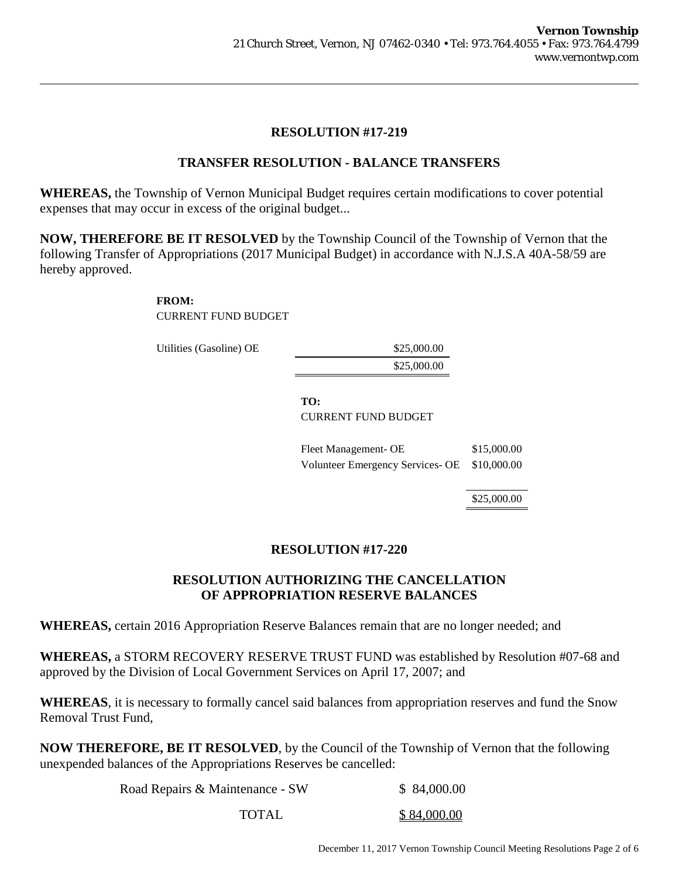## **TRANSFER RESOLUTION - BALANCE TRANSFERS**

**WHEREAS,** the Township of Vernon Municipal Budget requires certain modifications to cover potential expenses that may occur in excess of the original budget...

**NOW, THEREFORE BE IT RESOLVED** by the Township Council of the Township of Vernon that the following Transfer of Appropriations (2017 Municipal Budget) in accordance with N.J.S.A 40A-58/59 are hereby approved.

### **FROM:**

CURRENT FUND BUDGET

Utilities (Gasoline) OE \$25,000.00

\$25,000.00

## **TO:**

CURRENT FUND BUDGET

Fleet Management- OE \$15,000.00 Volunteer Emergency Services- OE \$10,000.00

\$25,000.00

## **RESOLUTION #17-220**

## **RESOLUTION AUTHORIZING THE CANCELLATION OF APPROPRIATION RESERVE BALANCES**

**WHEREAS,** certain 2016 Appropriation Reserve Balances remain that are no longer needed; and

**WHEREAS,** a STORM RECOVERY RESERVE TRUST FUND was established by Resolution #07-68 and approved by the Division of Local Government Services on April 17, 2007; and

**WHEREAS**, it is necessary to formally cancel said balances from appropriation reserves and fund the Snow Removal Trust Fund,

**NOW THEREFORE, BE IT RESOLVED**, by the Council of the Township of Vernon that the following unexpended balances of the Appropriations Reserves be cancelled:

| Road Repairs & Maintenance - SW | \$84,000.00 |  |
|---------------------------------|-------------|--|
| TOTAL                           | \$84,000.00 |  |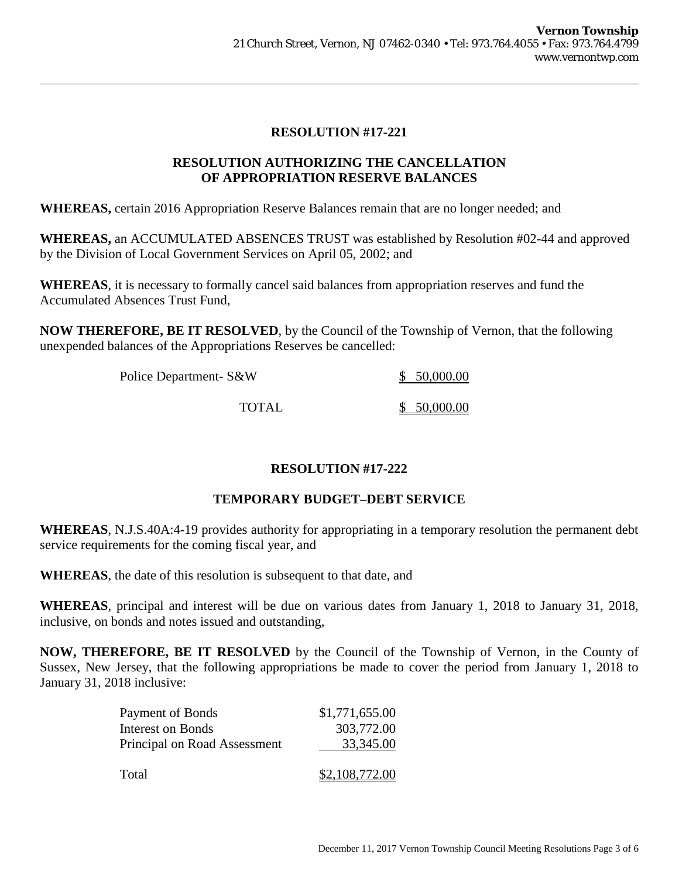## **RESOLUTION AUTHORIZING THE CANCELLATION OF APPROPRIATION RESERVE BALANCES**

**WHEREAS,** certain 2016 Appropriation Reserve Balances remain that are no longer needed; and

**WHEREAS,** an ACCUMULATED ABSENCES TRUST was established by Resolution #02-44 and approved by the Division of Local Government Services on April 05, 2002; and

**WHEREAS**, it is necessary to formally cancel said balances from appropriation reserves and fund the Accumulated Absences Trust Fund,

**NOW THEREFORE, BE IT RESOLVED**, by the Council of the Township of Vernon, that the following unexpended balances of the Appropriations Reserves be cancelled:

| Police Department- S&W | \$50,000.00 |  |
|------------------------|-------------|--|
|                        |             |  |
| <b>TOTAL</b>           | \$50,000.00 |  |

## **RESOLUTION #17-222**

## **TEMPORARY BUDGET–DEBT SERVICE**

**WHEREAS**, N.J.S.40A:4-19 provides authority for appropriating in a temporary resolution the permanent debt service requirements for the coming fiscal year, and

**WHEREAS**, the date of this resolution is subsequent to that date, and

**WHEREAS**, principal and interest will be due on various dates from January 1, 2018 to January 31, 2018, inclusive, on bonds and notes issued and outstanding,

**NOW, THEREFORE, BE IT RESOLVED** by the Council of the Township of Vernon, in the County of Sussex, New Jersey, that the following appropriations be made to cover the period from January 1, 2018 to January 31, 2018 inclusive:

| Payment of Bonds             | \$1,771,655.00 |
|------------------------------|----------------|
| <b>Interest on Bonds</b>     | 303,772.00     |
| Principal on Road Assessment | 33,345.00      |
|                              |                |
| Total                        | \$2,108,772.00 |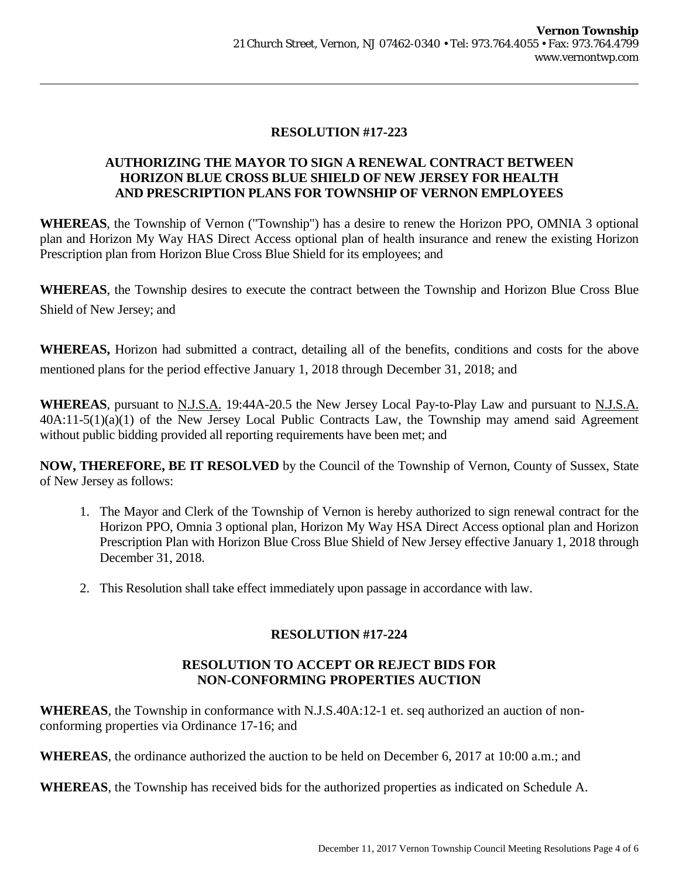## **AUTHORIZING THE MAYOR TO SIGN A RENEWAL CONTRACT BETWEEN HORIZON BLUE CROSS BLUE SHIELD OF NEW JERSEY FOR HEALTH AND PRESCRIPTION PLANS FOR TOWNSHIP OF VERNON EMPLOYEES**

**WHEREAS**, the Township of Vernon ("Township") has a desire to renew the Horizon PPO, OMNIA 3 optional plan and Horizon My Way HAS Direct Access optional plan of health insurance and renew the existing Horizon Prescription plan from Horizon Blue Cross Blue Shield for its employees; and

**WHEREAS**, the Township desires to execute the contract between the Township and Horizon Blue Cross Blue Shield of New Jersey; and

**WHEREAS,** Horizon had submitted a contract, detailing all of the benefits, conditions and costs for the above mentioned plans for the period effective January 1, 2018 through December 31, 2018; and

**WHEREAS**, pursuant to N.J.S.A. 19:44A-20.5 the New Jersey Local Pay-to-Play Law and pursuant to N.J.S.A. 40A:11-5(1)(a)(1) of the New Jersey Local Public Contracts Law, the Township may amend said Agreement without public bidding provided all reporting requirements have been met; and

**NOW, THEREFORE, BE IT RESOLVED** by the Council of the Township of Vernon, County of Sussex, State of New Jersey as follows:

- 1. The Mayor and Clerk of the Township of Vernon is hereby authorized to sign renewal contract for the Horizon PPO, Omnia 3 optional plan, Horizon My Way HSA Direct Access optional plan and Horizon Prescription Plan with Horizon Blue Cross Blue Shield of New Jersey effective January 1, 2018 through December 31, 2018.
- 2. This Resolution shall take effect immediately upon passage in accordance with law.

## **RESOLUTION #17-224**

## **RESOLUTION TO ACCEPT OR REJECT BIDS FOR NON-CONFORMING PROPERTIES AUCTION**

**WHEREAS**, the Township in conformance with N.J.S.40A:12-1 et. seq authorized an auction of nonconforming properties via Ordinance 17-16; and

**WHEREAS**, the ordinance authorized the auction to be held on December 6, 2017 at 10:00 a.m.; and

**WHEREAS**, the Township has received bids for the authorized properties as indicated on Schedule A.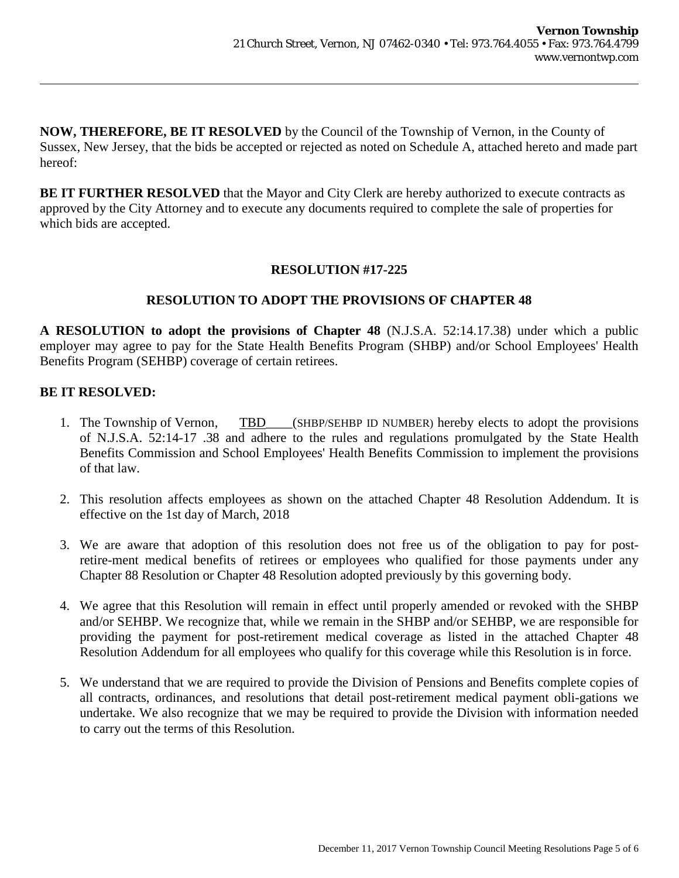**NOW, THEREFORE, BE IT RESOLVED** by the Council of the Township of Vernon, in the County of Sussex, New Jersey, that the bids be accepted or rejected as noted on Schedule A, attached hereto and made part hereof:

**BE IT FURTHER RESOLVED** that the Mayor and City Clerk are hereby authorized to execute contracts as approved by the City Attorney and to execute any documents required to complete the sale of properties for which bids are accepted.

## **RESOLUTION #17-225**

## **RESOLUTION TO ADOPT THE PROVISIONS OF CHAPTER 48**

**A RESOLUTION to adopt the provisions of Chapter 48** (N.J.S.A. 52:14.17.38) under which a public employer may agree to pay for the State Health Benefits Program (SHBP) and/or School Employees' Health Benefits Program (SEHBP) coverage of certain retirees.

## **BE IT RESOLVED:**

- 1. The Township of Vernon, TBD\_\_\_\_(SHBP/SEHBP ID NUMBER) hereby elects to adopt the provisions of N.J.S.A. 52:14-17 .38 and adhere to the rules and regulations promulgated by the State Health Benefits Commission and School Employees' Health Benefits Commission to implement the provisions of that law.
- 2. This resolution affects employees as shown on the attached Chapter 48 Resolution Addendum. It is effective on the 1st day of March, 2018
- 3. We are aware that adoption of this resolution does not free us of the obligation to pay for postretire-ment medical benefits of retirees or employees who qualified for those payments under any Chapter 88 Resolution or Chapter 48 Resolution adopted previously by this governing body.
- 4. We agree that this Resolution will remain in effect until properly amended or revoked with the SHBP and/or SEHBP. We recognize that, while we remain in the SHBP and/or SEHBP, we are responsible for providing the payment for post-retirement medical coverage as listed in the attached Chapter 48 Resolution Addendum for all employees who qualify for this coverage while this Resolution is in force.
- 5. We understand that we are required to provide the Division of Pensions and Benefits complete copies of all contracts, ordinances, and resolutions that detail post-retirement medical payment obli-gations we undertake. We also recognize that we may be required to provide the Division with information needed to carry out the terms of this Resolution.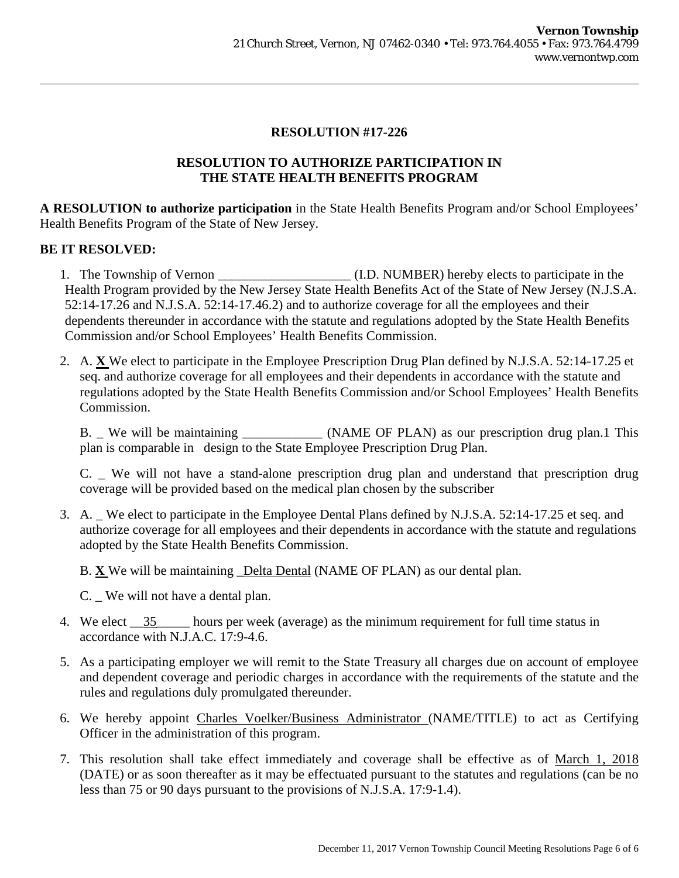## **RESOLUTION TO AUTHORIZE PARTICIPATION IN THE STATE HEALTH BENEFITS PROGRAM**

**A RESOLUTION to authorize participation** in the State Health Benefits Program and/or School Employees' Health Benefits Program of the State of New Jersey.

## **BE IT RESOLVED:**

1. The Township of Vernon \_\_\_\_\_\_\_\_\_\_\_\_\_\_\_\_\_\_\_\_ (I.D. NUMBER) hereby elects to participate in the Health Program provided by the New Jersey State Health Benefits Act of the State of New Jersey (N.J.S.A. 52:14-17.26 and N.J.S.A. 52:14-17.46.2) and to authorize coverage for all the employees and their dependents thereunder in accordance with the statute and regulations adopted by the State Health Benefits Commission and/or School Employees' Health Benefits Commission.

2. A. **X** We elect to participate in the Employee Prescription Drug Plan defined by N.J.S.A. 52:14-17.25 et seq. and authorize coverage for all employees and their dependents in accordance with the statute and regulations adopted by the State Health Benefits Commission and/or School Employees' Health Benefits Commission.

B. \_ We will be maintaining \_\_\_\_\_\_\_\_\_\_\_\_ (NAME OF PLAN) as our prescription drug plan.1 This plan is comparable in design to the State Employee Prescription Drug Plan.

C. \_ We will not have a stand-alone prescription drug plan and understand that prescription drug coverage will be provided based on the medical plan chosen by the subscriber

3. A. We elect to participate in the Employee Dental Plans defined by N.J.S.A. 52:14-17.25 et seq. and authorize coverage for all employees and their dependents in accordance with the statute and regulations adopted by the State Health Benefits Commission.

B. **X** We will be maintaining \_Delta Dental (NAME OF PLAN) as our dental plan.

- C. We will not have a dental plan.
- 4. We elect  $\frac{35}{25}$  hours per week (average) as the minimum requirement for full time status in accordance with N.J.A.C. 17:9-4.6.
- 5. As a participating employer we will remit to the State Treasury all charges due on account of employee and dependent coverage and periodic charges in accordance with the requirements of the statute and the rules and regulations duly promulgated thereunder.
- 6. We hereby appoint Charles Voelker/Business Administrator (NAME/TITLE) to act as Certifying Officer in the administration of this program.
- 7. This resolution shall take effect immediately and coverage shall be effective as of March 1, 2018 (DATE) or as soon thereafter as it may be effectuated pursuant to the statutes and regulations (can be no less than 75 or 90 days pursuant to the provisions of N.J.S.A. 17:9-1.4).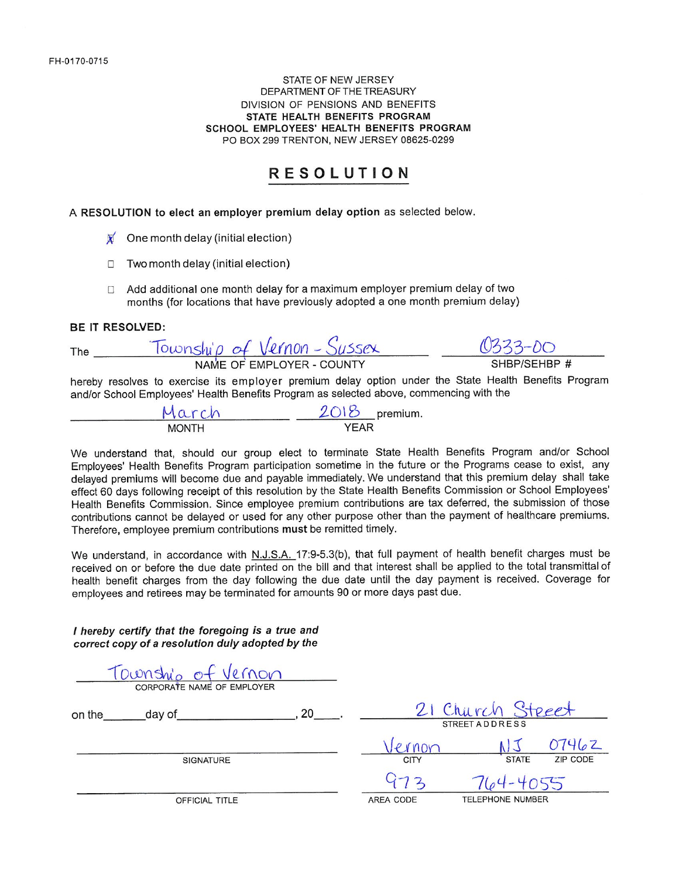#### STATE OF NEW JERSEY DEPARTMENT OF THE TREASURY DIVISION OF PENSIONS AND BENEFITS STATE HEALTH BENEFITS PROGRAM SCHOOL EMPLOYEES' HEALTH BENEFITS PROGRAM PO BOX 299 TRENTON, NEW JERSEY 08625-0299

## **RESOLUTION**

A RESOLUTION to elect an employer premium delay option as selected below.

- One month delay (initial election)
- Two month delay (initial election)  $\Box$
- Add additional one month delay for a maximum employer premium delay of two  $\Box$ months (for locations that have previously adopted a one month premium delay)

#### **BE IT RESOLVED:**

| The | Township of Vernon-Sussex | 0333-00      |
|-----|---------------------------|--------------|
|     | NAME OF EMPLOYER - COUNTY | SHBP/SEHBP # |

hereby resolves to exercise its employer premium delay option under the State Health Benefits Program and/or School Employees' Health Benefits Program as selected above, commencing with the

| March        | $2018$ premium. |  |
|--------------|-----------------|--|
| <b>MONTH</b> | YEAR            |  |

We understand that, should our group elect to terminate State Health Benefits Program and/or School Employees' Health Benefits Program participation sometime in the future or the Programs cease to exist, any delayed premiums will become due and payable immediately. We understand that this premium delay shall take effect 60 days following receipt of this resolution by the State Health Benefits Commission or School Employees' Health Benefits Commission. Since employee premium contributions are tax deferred, the submission of those contributions cannot be delayed or used for any other purpose other than the payment of healthcare premiums. Therefore, employee premium contributions must be remitted timely.

We understand, in accordance with N.J.S.A. 17:9-5.3(b), that full payment of health benefit charges must be received on or before the due date printed on the bill and that interest shall be applied to the total transmittal of health benefit charges from the day following the due date until the day payment is received. Coverage for employees and retirees may be terminated for amounts 90 or more days past due.

I hereby certify that the foregoing is a true and correct copy of a resolution duly adopted by the

TOWNSWO Of Vernon 21 Church Steect  $\sim$   $\sim$   $\sim$   $\sim$   $\sim$   $\sim$ on the day of  $\frac{1000}{1000}$   $\frac{15}{1500}$   $\frac{07462}{1500}$ **SIGNATURE**  $764 - 4055$ **TELEPHONE NUMBER** OFFICIAL TITLE AREA CODE